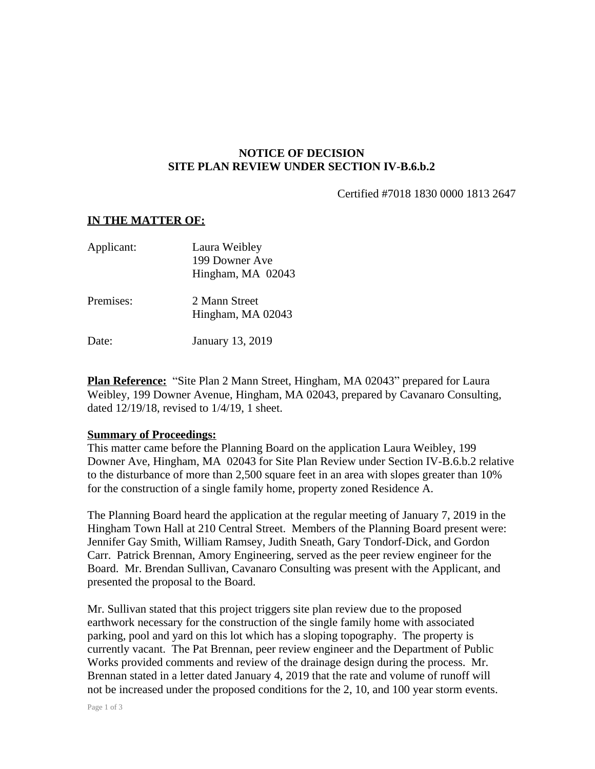## **NOTICE OF DECISION SITE PLAN REVIEW UNDER SECTION IV-B.6.b.2**

Certified #7018 1830 0000 1813 2647

## **IN THE MATTER OF:**

| Applicant: | Laura Weibley     |
|------------|-------------------|
|            | 199 Downer Ave    |
|            | Hingham, MA 02043 |
| Premises:  | 2 Mann Street     |
|            | Hingham, MA 02043 |
| Date:      | January 13, 2019  |

**Plan Reference:** "Site Plan 2 Mann Street, Hingham, MA 02043" prepared for Laura Weibley, 199 Downer Avenue, Hingham, MA 02043, prepared by Cavanaro Consulting, dated 12/19/18, revised to 1/4/19, 1 sheet.

## **Summary of Proceedings:**

This matter came before the Planning Board on the application Laura Weibley, 199 Downer Ave, Hingham, MA 02043 for Site Plan Review under Section IV-B.6.b.2 relative to the disturbance of more than 2,500 square feet in an area with slopes greater than 10% for the construction of a single family home, property zoned Residence A.

The Planning Board heard the application at the regular meeting of January 7, 2019 in the Hingham Town Hall at 210 Central Street. Members of the Planning Board present were: Jennifer Gay Smith, William Ramsey, Judith Sneath, Gary Tondorf-Dick, and Gordon Carr. Patrick Brennan, Amory Engineering, served as the peer review engineer for the Board. Mr. Brendan Sullivan, Cavanaro Consulting was present with the Applicant, and presented the proposal to the Board.

Mr. Sullivan stated that this project triggers site plan review due to the proposed earthwork necessary for the construction of the single family home with associated parking, pool and yard on this lot which has a sloping topography. The property is currently vacant. The Pat Brennan, peer review engineer and the Department of Public Works provided comments and review of the drainage design during the process. Mr. Brennan stated in a letter dated January 4, 2019 that the rate and volume of runoff will not be increased under the proposed conditions for the 2, 10, and 100 year storm events.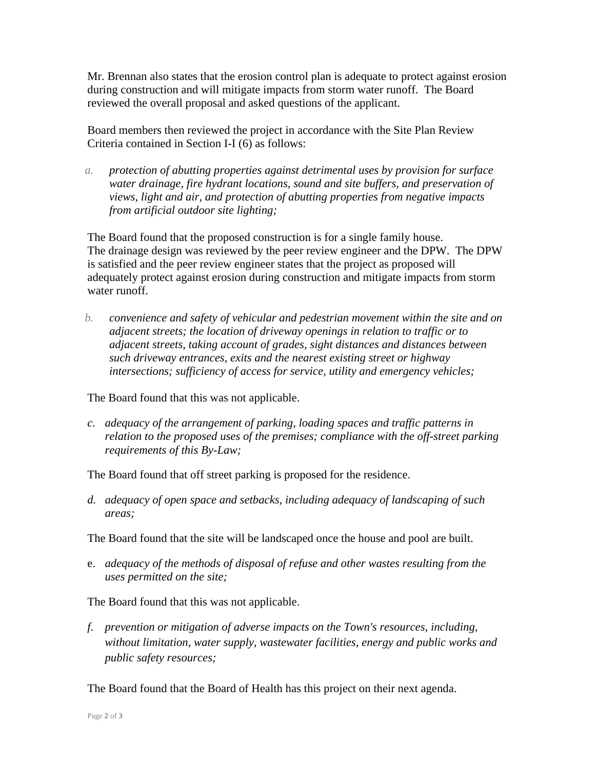Mr. Brennan also states that the erosion control plan is adequate to protect against erosion during construction and will mitigate impacts from storm water runoff. The Board reviewed the overall proposal and asked questions of the applicant.

Board members then reviewed the project in accordance with the Site Plan Review Criteria contained in Section I-I (6) as follows:

*a. protection of abutting properties against detrimental uses by provision for surface water drainage, fire hydrant locations, sound and site buffers, and preservation of views, light and air, and protection of abutting properties from negative impacts from artificial outdoor site lighting;*

The Board found that the proposed construction is for a single family house. The drainage design was reviewed by the peer review engineer and the DPW. The DPW is satisfied and the peer review engineer states that the project as proposed will adequately protect against erosion during construction and mitigate impacts from storm water runoff.

*b. convenience and safety of vehicular and pedestrian movement within the site and on adjacent streets; the location of driveway openings in relation to traffic or to adjacent streets, taking account of grades, sight distances and distances between such driveway entrances, exits and the nearest existing street or highway intersections; sufficiency of access for service, utility and emergency vehicles;*

The Board found that this was not applicable.

*c. adequacy of the arrangement of parking, loading spaces and traffic patterns in relation to the proposed uses of the premises; compliance with the off-street parking requirements of this By-Law;*

The Board found that off street parking is proposed for the residence.

*d. adequacy of open space and setbacks, including adequacy of landscaping of such areas;*

The Board found that the site will be landscaped once the house and pool are built.

e. *adequacy of the methods of disposal of refuse and other wastes resulting from the uses permitted on the site;*

The Board found that this was not applicable.

*f. prevention or mitigation of adverse impacts on the Town's resources, including, without limitation, water supply, wastewater facilities, energy and public works and public safety resources;*

The Board found that the Board of Health has this project on their next agenda.